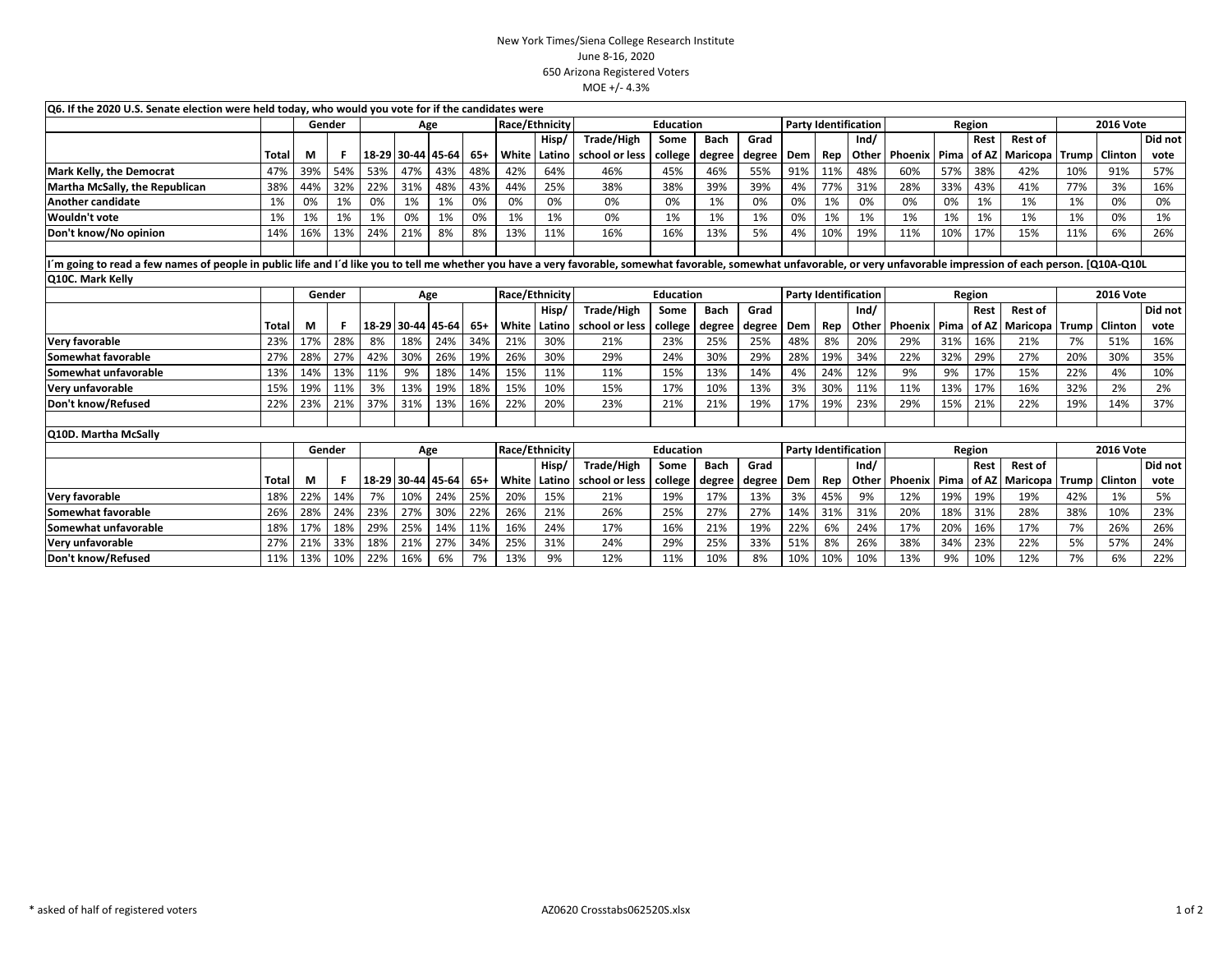## New York Times/Siena College Research InstituteJune 8-16, 2020 650 Arizona Registered VotersMOE +/- 4.3%

|                                                                                                                                                                                                                          | Q6. If the 2020 U.S. Senate election were held today, who would you vote for if the candidates were |        |     |       |                   |     |                |                |                |                  |         |             |                             |     |        |        |         |      |                  |                  |       |                |         |
|--------------------------------------------------------------------------------------------------------------------------------------------------------------------------------------------------------------------------|-----------------------------------------------------------------------------------------------------|--------|-----|-------|-------------------|-----|----------------|----------------|----------------|------------------|---------|-------------|-----------------------------|-----|--------|--------|---------|------|------------------|------------------|-------|----------------|---------|
|                                                                                                                                                                                                                          |                                                                                                     | Gender |     |       |                   |     | Age            |                | Race/Ethnicity | Education        |         |             | <b>Party Identification</b> |     | Region |        |         |      | <b>2016 Vote</b> |                  |       |                |         |
|                                                                                                                                                                                                                          |                                                                                                     |        |     |       |                   |     |                |                | Hisp/          | Trade/High       | Some    | <b>Bach</b> | Grad                        |     |        | Ind/   |         |      | Rest             | <b>Rest of</b>   |       |                | Did not |
|                                                                                                                                                                                                                          | Total                                                                                               | М      | F   | 18-29 | 30-44 45-64       |     | 65+            | White          | Latino         | school or less   | college | degree      | degree                      | Dem | Rep    | Other  | Phoenix | Pima | of AZ            | Maricopa         | Trump | Clinton        | vote    |
| Mark Kelly, the Democrat                                                                                                                                                                                                 | 47%                                                                                                 | 39%    | 54% | 53%   | 47%               | 43% | 48%            | 42%            | 64%            | 46%              | 45%     | 46%         | 55%                         | 91% | 11%    | 48%    | 60%     | 57%  | 38%              | 42%              | 10%   | 91%            | 57%     |
| Martha McSally, the Republican                                                                                                                                                                                           | 38%                                                                                                 | 44%    | 32% | 22%   | 31%               | 48% | 43%            | 44%            | 25%            | 38%              | 38%     | 39%         | 39%                         | 4%  | 77%    | 31%    | 28%     | 33%  | 43%              | 41%              | 77%   | 3%             | 16%     |
| Another candidate                                                                                                                                                                                                        | 1%                                                                                                  | 0%     | 1%  | 0%    | 1%                | 1%  | 0%             | 0%             | 0%             | 0%               | 0%      | 1%          | 0%                          | 0%  | 1%     | 0%     | 0%      | 0%   | 1%               | 1%               | 1%    | 0%             | 0%      |
| Wouldn't vote                                                                                                                                                                                                            | 1%                                                                                                  | 1%     | 1%  | 1%    | 0%                | 1%  | 0%             | 1%             | 1%             | 0%               | 1%      | 1%          | 1%                          | 0%  | 1%     | 1%     | 1%      | 1%   | 1%               | 1%               | 1%    | 0%             | 1%      |
| Don't know/No opinion                                                                                                                                                                                                    | 14%                                                                                                 | 16%    | 13% | 24%   | 21%               | 8%  | 8%             | 13%            | 11%            | 16%              | 16%     | 13%         | 5%                          | 4%  | 10%    | 19%    | 11%     | 10%  | 17%              | 15%              | 11%   | 6%             | 26%     |
|                                                                                                                                                                                                                          |                                                                                                     |        |     |       |                   |     |                |                |                |                  |         |             |                             |     |        |        |         |      |                  |                  |       |                |         |
| m going to read a few names of people in public life and I'd like you to tell me whether you have a very favorable, somewhat favorable, somewhat unfavorable, or very unfavorable impression of each person. [Q10A-Q10L] |                                                                                                     |        |     |       |                   |     |                |                |                |                  |         |             |                             |     |        |        |         |      |                  |                  |       |                |         |
| <b>Q10C. Mark Kelly</b>                                                                                                                                                                                                  |                                                                                                     |        |     |       |                   |     |                |                |                |                  |         |             |                             |     |        |        |         |      |                  |                  |       |                |         |
|                                                                                                                                                                                                                          |                                                                                                     | Gender |     | Age   |                   |     | Race/Ethnicity |                |                | <b>Education</b> |         |             | <b>Party Identification</b> |     |        | Region |         |      |                  | <b>2016 Vote</b> |       |                |         |
|                                                                                                                                                                                                                          |                                                                                                     |        |     |       |                   |     |                |                | Hisp/          | Trade/High       | Some    | <b>Bach</b> | Grad                        |     |        | Ind/   |         |      | Rest             | <b>Rest of</b>   |       |                | Did not |
|                                                                                                                                                                                                                          | Total                                                                                               | М      |     |       | 18-29 30-44 45-64 |     | $65+$          | White          | Latino         | school or less   | college | degree      | degree                      | Dem | Rep    | Other  | Phoenix | Pima | of AZ            | <b>Maricopa</b>  | Trump | Clinton        | vote    |
| Very favorable                                                                                                                                                                                                           | 23%                                                                                                 | 17%    | 28% | 8%    | 18%               | 24% | 34%            | 21%            | 30%            | 21%              | 23%     | 25%         | 25%                         | 48% | 8%     | 20%    | 29%     | 31%  | 16%              | 21%              | 7%    | 51%            | 16%     |
| Somewhat favorable                                                                                                                                                                                                       | 27%                                                                                                 | 28%    | 27% | 42%   | 30%               | 26% | 19%            | 26%            | 30%            | 29%              | 24%     | 30%         | 29%                         | 28% | 19%    | 34%    | 22%     | 32%  | 29%              | 27%              | 20%   | 30%            | 35%     |
| Somewhat unfavorable                                                                                                                                                                                                     | 13%                                                                                                 | 14%    | 13% | 11%   | 9%                | 18% | 14%            | 15%            | 11%            | 11%              | 15%     | 13%         | 14%                         | 4%  | 24%    | 12%    | 9%      | 9%   | 17%              | 15%              | 22%   | 4%             | 10%     |
| Very unfavorable                                                                                                                                                                                                         | 15%                                                                                                 | 19%    | 11% | 3%    | 13%               | 19% | 18%            | 15%            | 10%            | 15%              | 17%     | 10%         | 13%                         | 3%  | 30%    | 11%    | 11%     | 13%  | 17%              | 16%              | 32%   | 2%             | 2%      |
| Don't know/Refused                                                                                                                                                                                                       | 22%                                                                                                 | 23%    | 21% | 37%   | 31%               | 13% | 16%            | 22%            | 20%            | 23%              | 21%     | 21%         | 19%                         | 17% | 19%    | 23%    | 29%     | 15%  | 21%              | 22%              | 19%   | 14%            | 37%     |
|                                                                                                                                                                                                                          |                                                                                                     |        |     |       |                   |     |                |                |                |                  |         |             |                             |     |        |        |         |      |                  |                  |       |                |         |
| <b>Q10D. Martha McSally</b>                                                                                                                                                                                              |                                                                                                     |        |     |       |                   |     |                |                |                |                  |         |             |                             |     |        |        |         |      |                  |                  |       |                |         |
|                                                                                                                                                                                                                          |                                                                                                     | Gender |     | Age   |                   |     |                | Race/Ethnicity |                | <b>Education</b> |         |             | <b>Party Identification</b> |     |        | Region |         |      |                  | <b>2016 Vote</b> |       |                |         |
|                                                                                                                                                                                                                          |                                                                                                     |        |     |       |                   |     |                |                | Hisp/          | Trade/High       | Some    | Bach        | Grad                        |     |        | Ind/   |         |      | Rest             | <b>Rest of</b>   |       |                | Did not |
|                                                                                                                                                                                                                          | Total                                                                                               | М      | F   |       | 18-29 30-44 45-64 |     | $65+$          | White          | Latino         | school or less   | college | degree      | degree                      | Dem | Rep    | Other  | Phoenix | Pima | of AZ            | <b>Maricopa</b>  | Trump | <b>Clinton</b> | vote    |
| Very favorable                                                                                                                                                                                                           | 18%                                                                                                 | 22%    | 14% | 7%    | 10%               | 24% | 25%            | 20%            | 15%            | 21%              | 19%     | 17%         | 13%                         | 3%  | 45%    | 9%     | 12%     | 19%  | 19%              | 19%              | 42%   | 1%             | 5%      |
| Somewhat favorable                                                                                                                                                                                                       | 26%                                                                                                 | 28%    | 24% | 23%   | 27%               | 30% | 22%            | 26%            | 21%            | 26%              | 25%     | 27%         | 27%                         | 14% | 31%    | 31%    | 20%     | 18%  | 31%              | 28%              | 38%   | 10%            | 23%     |
| Somewhat unfavorable                                                                                                                                                                                                     | 18%                                                                                                 | 17%    | 18% | 29%   | 25%               | 14% | 11%            | 16%            | 24%            | 17%              | 16%     | 21%         | 19%                         | 22% | 6%     | 24%    | 17%     | 20%  | 16%              | 17%              | 7%    | 26%            | 26%     |
| Very unfavorable                                                                                                                                                                                                         | 27%                                                                                                 | 21%    | 33% | 18%   | 21%               | 27% | 34%            | 25%            | 31%            | 24%              | 29%     | 25%         | 33%                         | 51% | 8%     | 26%    | 38%     | 34%  | 23%              | 22%              | 5%    | 57%            | 24%     |
| Don't know/Refused                                                                                                                                                                                                       | 11%                                                                                                 | 13%    | 10% | 22%   | 16%               | 6%  | 7%             | 13%            | 9%             | 12%              | 11%     | 10%         | 8%                          | 10% | 10%    | 10%    | 13%     | 9%   | 10%              | 12%              | 7%    | 6%             | 22%     |